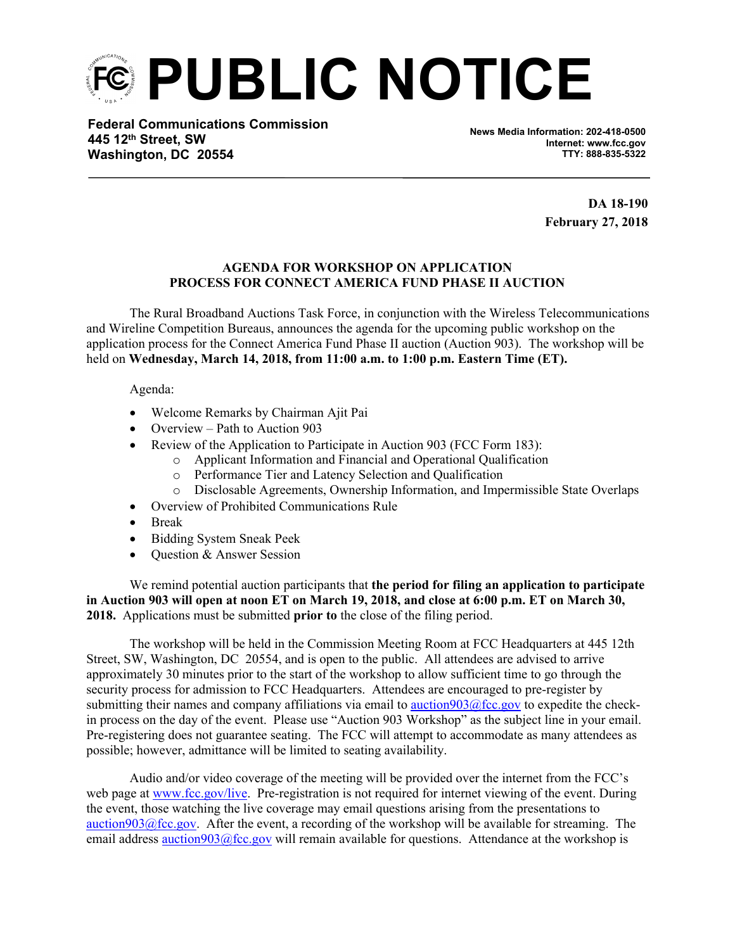**PUBLIC NOTICE**

**Federal Communications Commission 445 12th Street, SW Washington, DC 20554**

**News Media Information: 202-418-0500 Internet: www.fcc.gov TTY: 888-835-5322**

> **DA 18-190 February 27, 2018**

## **AGENDA FOR WORKSHOP ON APPLICATION PROCESS FOR CONNECT AMERICA FUND PHASE II AUCTION**

The Rural Broadband Auctions Task Force, in conjunction with the Wireless Telecommunications and Wireline Competition Bureaus, announces the agenda for the upcoming public workshop on the application process for the Connect America Fund Phase II auction (Auction 903). The workshop will be held on **Wednesday, March 14, 2018, from 11:00 a.m. to 1:00 p.m. Eastern Time (ET).**

Agenda:

- Welcome Remarks by Chairman Ajit Pai
- Overview Path to Auction 903
- Review of the Application to Participate in Auction 903 (FCC Form 183):
	- o Applicant Information and Financial and Operational Qualification
	- o Performance Tier and Latency Selection and Qualification
	- o Disclosable Agreements, Ownership Information, and Impermissible State Overlaps
- Overview of Prohibited Communications Rule
- Break
- Bidding System Sneak Peek
- Question & Answer Session

We remind potential auction participants that **the period for filing an application to participate in Auction 903 will open at noon ET on March 19, 2018, and close at 6:00 p.m. ET on March 30, 2018.** Applications must be submitted **prior to** the close of the filing period.

The workshop will be held in the Commission Meeting Room at FCC Headquarters at 445 12th Street, SW, Washington, DC 20554, and is open to the public. All attendees are advised to arrive approximately 30 minutes prior to the start of the workshop to allow sufficient time to go through the security process for admission to FCC Headquarters. Attendees are encouraged to pre-register by submitting their names and company affiliations via email to [auction903@fcc.gov](mailto:auction903@fcc.gov) to expedite the checkin process on the day of the event. Please use "Auction 903 Workshop" as the subject line in your email. Pre-registering does not guarantee seating. The FCC will attempt to accommodate as many attendees as possible; however, admittance will be limited to seating availability.

Audio and/or video coverage of the meeting will be provided over the internet from the FCC's web page at [www.fcc.gov/live](https://www.fcc.gov/live). Pre-registration is not required for internet viewing of the event. During the event, those watching the live coverage may email questions arising from the presentations to auction $903@$  fcc.gov. After the event, a recording of the workshop will be available for streaming. The email address [auction903@fcc.gov](mailto:auction903@fcc.gov) will remain available for questions. Attendance at the workshop is